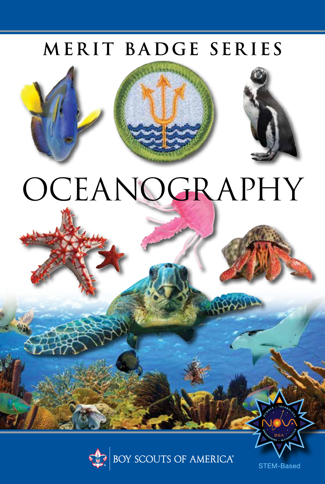## MERIT BADGE SERIES





# OCEANOGRAPHY



STEM-Based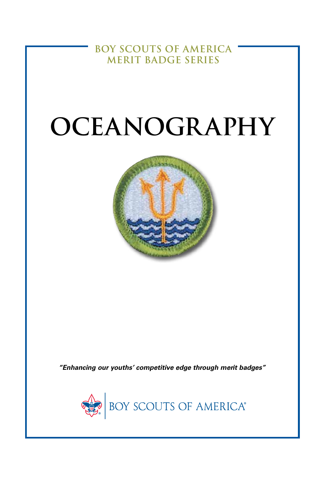**BOY SCOUTS OF AMERICA MERIT BADGE SERIES**

## **OCEANOGRAPHY**



*"Enhancing our youths' competitive edge through merit badges"*

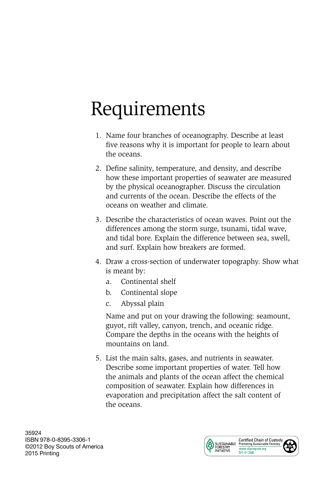## Requirements

- 1. Name four branches of oceanography. Describe at least five reasons why it is important for people to learn about the oceans.
- 2. Define salinity, temperature, and density, and describe how these important properties of seawater are measured by the physical oceanographer. Discuss the circulation and currents of the ocean. Describe the effects of the oceans on weather and climate.
- 3. Describe the characteristics of ocean waves. Point out the differences among the storm surge, tsunami, tidal wave, and tidal bore. Explain the difference between sea, swell, and surf. Explain how breakers are formed.
- 4. Draw a cross-section of underwater topography. Show what is meant by:
	- a. Continental shelf
	- b. Continental slope
	- c. Abyssal plain

 Name and put on your drawing the following: seamount, guyot, rift valley, canyon, trench, and oceanic ridge. Compare the depths in the oceans with the heights of mountains on land.

5. List the main salts, gases, and nutrients in seawater. Describe some important properties of water. Tell how the animals and plants of the ocean affect the chemical composition of seawater. Explain how differences in evaporation and precipitation affect the salt content of the oceans.

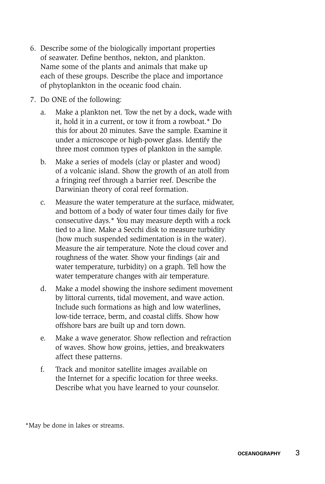- 6. Describe some of the biologically important properties of seawater. Define benthos, nekton, and plankton. Name some of the plants and animals that make up each of these groups. Describe the place and importance of phytoplankton in the oceanic food chain.
- 7. Do ONE of the following:
	- a. Make a plankton net. Tow the net by a dock, wade with it, hold it in a current, or tow it from a rowboat.\* Do this for about 20 minutes. Save the sample. Examine it under a microscope or high-power glass. Identify the three most common types of plankton in the sample.
	- b. Make a series of models (clay or plaster and wood) of a volcanic island. Show the growth of an atoll from a fringing reef through a barrier reef. Describe the Darwinian theory of coral reef formation.
	- c. Measure the water temperature at the surface, midwater, and bottom of a body of water four times daily for five consecutive days.\* You may measure depth with a rock tied to a line. Make a Secchi disk to measure turbidity (how much suspended sedimentation is in the water). Measure the air temperature. Note the cloud cover and roughness of the water. Show your findings (air and water temperature, turbidity) on a graph. Tell how the water temperature changes with air temperature.
	- d. Make a model showing the inshore sediment movement by littoral currents, tidal movement, and wave action. Include such formations as high and low waterlines, low-tide terrace, berm, and coastal cliffs. Show how offshore bars are built up and torn down.
	- e. Make a wave generator. Show reflection and refraction of waves. Show how groins, jetties, and breakwaters affect these patterns.
	- f. Track and monitor satellite images available on the Internet for a specific location for three weeks. Describe what you have learned to your counselor.

\*May be done in lakes or streams.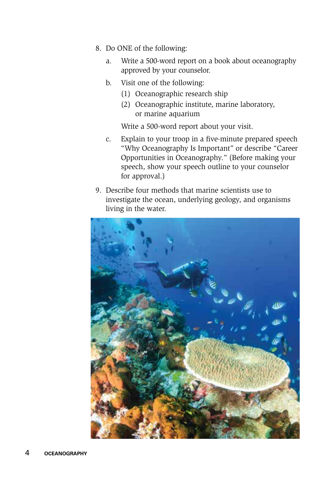- 8. Do ONE of the following:
	- a. Write a 500-word report on a book about oceanography approved by your counselor.
	- b. Visit one of the following:
		- (1) Oceanographic research ship
		- (2) Oceanographic institute, marine laboratory, or marine aquarium

Write a 500-word report about your visit.

- c. Explain to your troop in a five-minute prepared speech "Why Oceanography Is Important" or describe "Career Opportunities in Oceanography." (Before making your speech, show your speech outline to your counselor for approval.)
- 9. Describe four methods that marine scientists use to investigate the ocean, underlying geology, and organisms living in the water.

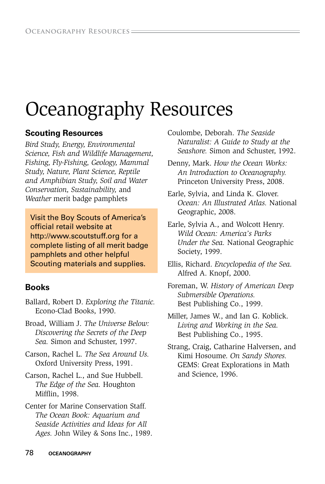## Oceanography Resources

#### **Scouting Resources**

*Bird Study, Energy, Environmental Science, Fish and Wildlife Management, Fishing, Fly-Fishing, Geology, Mammal Study, Nature, Plant Science, Reptile and Amphibian Study, Soil and Water Conservation, Sustainability,* and *Weather* merit badge pamphlets

Visit the Boy Scouts of America's official retail website at http://www.scoutstuff.org for a complete listing of all merit badge pamphlets and other helpful Scouting materials and supplies.

#### **Books**

- Ballard, Robert D. *Exploring the Titanic.* Econo-Clad Books, 1990.
- Broad, William J. *The Universe Below: Discovering the Secrets of the Deep Sea.* Simon and Schuster, 1997.
- Carson, Rachel L. *The Sea Around Us.* Oxford University Press, 1991.
- Carson, Rachel L., and Sue Hubbell. *The Edge of the Sea.* Houghton Mifflin, 1998.
- Center for Marine Conservation Staff*. The Ocean Book: Aquarium and Seaside Activities and Ideas for All Ages.* John Wiley & Sons Inc., 1989.

Coulombe, Deborah. *The Seaside Naturalist: A Guide to Study at the Seashore.* Simon and Schuster, 1992.

Denny, Mark. *How the Ocean Works: An Introduction to Oceanography.* Princeton University Press, 2008.

Earle, Sylvia, and Linda K. Glover. *Ocean: An Illustrated Atlas.* National Geographic, 2008.

Earle, Sylvia A., and Wolcott Henry. *Wild Ocean: America's Parks Under the Sea.* National Geographic Society, 1999.

Ellis, Richard. *Encyclopedia of the Sea.* Alfred A. Knopf, 2000.

Foreman, W. *History of American Deep Submersible Operations.* Best Publishing Co., 1999.

Miller, James W., and Ian G. Koblick. *Living and Working in the Sea.* Best Publishing Co., 1995.

Strang, Craig, Catharine Halversen, and Kimi Hosoume. *On Sandy Shores.*  GEMS: Great Explorations in Math and Science, 1996.